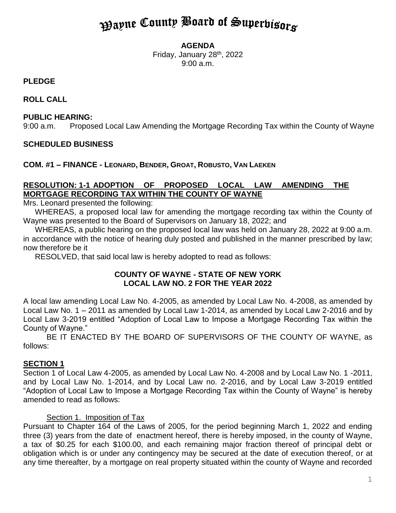# **Payne County Board of Superbisors**

#### **AGENDA**

Friday, January 28<sup>th</sup>, 2022 9:00 a.m.

# **PLEDGE**

**ROLL CALL**

# **PUBLIC HEARING:**

9:00 a.m. Proposed Local Law Amending the Mortgage Recording Tax within the County of Wayne

# **SCHEDULED BUSINESS**

# **COM. #1 – FINANCE - LEONARD, BENDER, GROAT, ROBUSTO, VAN LAEKEN**

# **RESOLUTION: 1-1 ADOPTION OF PROPOSED LOCAL LAW AMENDING THE MORTGAGE RECORDING TAX WITHIN THE COUNTY OF WAYNE**

Mrs. Leonard presented the following:

WHEREAS, a proposed local law for amending the mortgage recording tax within the County of Wayne was presented to the Board of Supervisors on January 18, 2022; and

WHEREAS, a public hearing on the proposed local law was held on January 28, 2022 at 9:00 a.m. in accordance with the notice of hearing duly posted and published in the manner prescribed by law; now therefore be it

RESOLVED, that said local law is hereby adopted to read as follows:

#### **COUNTY OF WAYNE - STATE OF NEW YORK LOCAL LAW NO. 2 FOR THE YEAR 2022**

A local law amending Local Law No. 4-2005, as amended by Local Law No. 4-2008, as amended by Local Law No. 1 – 2011 as amended by Local Law 1-2014, as amended by Local Law 2-2016 and by Local Law 3-2019 entitled "Adoption of Local Law to Impose a Mortgage Recording Tax within the County of Wayne."

BE IT ENACTED BY THE BOARD OF SUPERVISORS OF THE COUNTY OF WAYNE, as follows:

#### **SECTION 1**

Section 1 of Local Law 4-2005, as amended by Local Law No. 4-2008 and by Local Law No. 1 -2011, and by Local Law No. 1-2014, and by Local Law no. 2-2016, and by Local Law 3-2019 entitled "Adoption of Local Law to Impose a Mortgage Recording Tax within the County of Wayne" is hereby amended to read as follows:

#### Section 1. Imposition of Tax

Pursuant to Chapter 164 of the Laws of 2005, for the period beginning March 1, 2022 and ending three (3) years from the date of enactment hereof, there is hereby imposed, in the county of Wayne, a tax of \$0.25 for each \$100.00, and each remaining major fraction thereof of principal debt or obligation which is or under any contingency may be secured at the date of execution thereof, or at any time thereafter, by a mortgage on real property situated within the county of Wayne and recorded